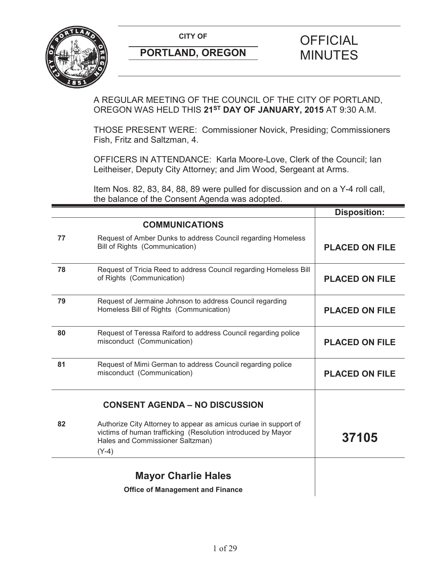

A REGULAR MEETING OF THE COUNCIL OF THE CITY OF PORTLAND, OREGON WAS HELD THIS **21ST DAY OF JANUARY, 2015** AT 9:30 A.M.

THOSE PRESENT WERE: Commissioner Novick, Presiding; Commissioners Fish, Fritz and Saltzman, 4.

OFFICERS IN ATTENDANCE: Karla Moore-Love, Clerk of the Council; Ian Leitheiser, Deputy City Attorney; and Jim Wood, Sergeant at Arms.

Item Nos. 82, 83, 84, 88, 89 were pulled for discussion and on a Y-4 roll call, the balance of the Consent Agenda was adopted.

|    |                                                                                                                                                                                 | <b>Disposition:</b>   |
|----|---------------------------------------------------------------------------------------------------------------------------------------------------------------------------------|-----------------------|
|    | <b>COMMUNICATIONS</b>                                                                                                                                                           |                       |
| 77 | Request of Amber Dunks to address Council regarding Homeless<br>Bill of Rights (Communication)                                                                                  | <b>PLACED ON FILE</b> |
| 78 | Request of Tricia Reed to address Council regarding Homeless Bill<br>of Rights (Communication)                                                                                  | <b>PLACED ON FILE</b> |
| 79 | Request of Jermaine Johnson to address Council regarding<br>Homeless Bill of Rights (Communication)                                                                             | <b>PLACED ON FILE</b> |
| 80 | Request of Teressa Raiford to address Council regarding police<br>misconduct (Communication)                                                                                    | <b>PLACED ON FILE</b> |
| 81 | Request of Mimi German to address Council regarding police<br>misconduct (Communication)                                                                                        | <b>PLACED ON FILE</b> |
|    | <b>CONSENT AGENDA - NO DISCUSSION</b>                                                                                                                                           |                       |
| 82 | Authorize City Attorney to appear as amicus curiae in support of<br>victims of human trafficking (Resolution introduced by Mayor<br>Hales and Commissioner Saltzman)<br>$(Y-4)$ | 37105                 |
|    | <b>Mayor Charlie Hales</b>                                                                                                                                                      |                       |
|    | <b>Office of Management and Finance</b>                                                                                                                                         |                       |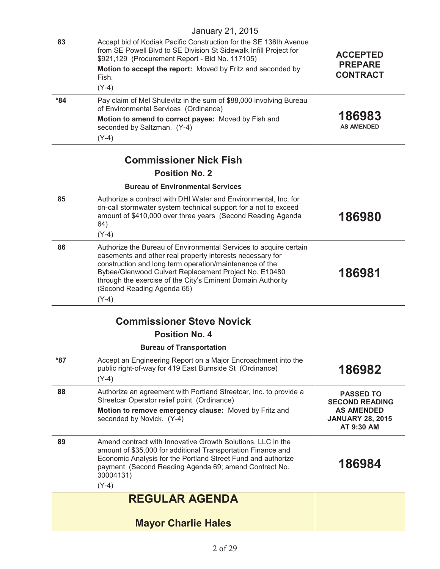|       | January 21, 2015                                                                                                                                                                                                                                                                                                                                           |                                                                                                         |
|-------|------------------------------------------------------------------------------------------------------------------------------------------------------------------------------------------------------------------------------------------------------------------------------------------------------------------------------------------------------------|---------------------------------------------------------------------------------------------------------|
| 83    | Accept bid of Kodiak Pacific Construction for the SE 136th Avenue<br>from SE Powell Blvd to SE Division St Sidewalk Infill Project for<br>\$921,129 (Procurement Report - Bid No. 117105)<br>Motion to accept the report: Moved by Fritz and seconded by<br>Fish.<br>$(Y-4)$                                                                               | <b>ACCEPTED</b><br><b>PREPARE</b><br><b>CONTRACT</b>                                                    |
| $*84$ | Pay claim of Mel Shulevitz in the sum of \$88,000 involving Bureau<br>of Environmental Services (Ordinance)<br>Motion to amend to correct payee: Moved by Fish and<br>seconded by Saltzman. (Y-4)                                                                                                                                                          | 186983<br><b>AS AMENDED</b>                                                                             |
|       | $(Y-4)$                                                                                                                                                                                                                                                                                                                                                    |                                                                                                         |
|       | <b>Commissioner Nick Fish</b>                                                                                                                                                                                                                                                                                                                              |                                                                                                         |
|       | <b>Position No. 2</b>                                                                                                                                                                                                                                                                                                                                      |                                                                                                         |
|       | <b>Bureau of Environmental Services</b>                                                                                                                                                                                                                                                                                                                    |                                                                                                         |
| 85    | Authorize a contract with DHI Water and Environmental, Inc. for<br>on-call stormwater system technical support for a not to exceed<br>amount of \$410,000 over three years (Second Reading Agenda<br>64)                                                                                                                                                   | 186980                                                                                                  |
|       | $(Y-4)$                                                                                                                                                                                                                                                                                                                                                    |                                                                                                         |
| 86    | Authorize the Bureau of Environmental Services to acquire certain<br>easements and other real property interests necessary for<br>construction and long term operation/maintenance of the<br>Bybee/Glenwood Culvert Replacement Project No. E10480<br>through the exercise of the City's Eminent Domain Authority<br>(Second Reading Agenda 65)<br>$(Y-4)$ | 186981                                                                                                  |
|       | <b>Commissioner Steve Novick</b>                                                                                                                                                                                                                                                                                                                           |                                                                                                         |
|       | <b>Position No. 4</b>                                                                                                                                                                                                                                                                                                                                      |                                                                                                         |
|       | <b>Bureau of Transportation</b>                                                                                                                                                                                                                                                                                                                            |                                                                                                         |
| *87   | Accept an Engineering Report on a Major Encroachment into the<br>public right-of-way for 419 East Burnside St (Ordinance)<br>$(Y-4)$                                                                                                                                                                                                                       | 186982                                                                                                  |
| 88    | Authorize an agreement with Portland Streetcar, Inc. to provide a<br>Streetcar Operator relief point (Ordinance)<br>Motion to remove emergency clause: Moved by Fritz and<br>seconded by Novick. (Y-4)                                                                                                                                                     | <b>PASSED TO</b><br><b>SECOND READING</b><br><b>AS AMENDED</b><br><b>JANUARY 28, 2015</b><br>AT 9:30 AM |
| 89    | Amend contract with Innovative Growth Solutions, LLC in the<br>amount of \$35,000 for additional Transportation Finance and<br>Economic Analysis for the Portland Street Fund and authorize<br>payment (Second Reading Agenda 69; amend Contract No.<br>30004131)<br>$(Y-4)$                                                                               | 186984                                                                                                  |
|       | <b>REGULAR AGENDA</b>                                                                                                                                                                                                                                                                                                                                      |                                                                                                         |
|       |                                                                                                                                                                                                                                                                                                                                                            |                                                                                                         |
|       | <b>Mayor Charlie Hales</b>                                                                                                                                                                                                                                                                                                                                 |                                                                                                         |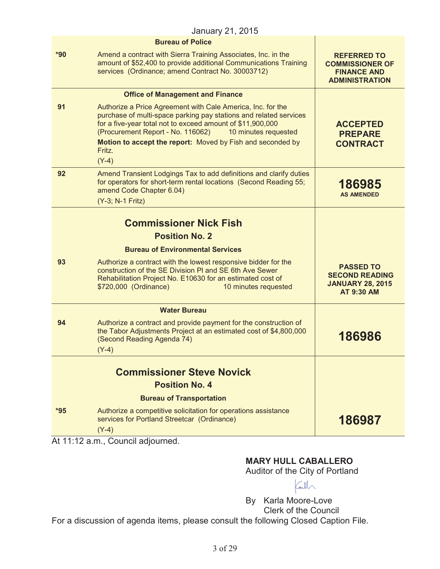|       | January 21, 2015                                                                                                                                                                                                                                                                                                                               |                                                                                             |
|-------|------------------------------------------------------------------------------------------------------------------------------------------------------------------------------------------------------------------------------------------------------------------------------------------------------------------------------------------------|---------------------------------------------------------------------------------------------|
|       | <b>Bureau of Police</b>                                                                                                                                                                                                                                                                                                                        |                                                                                             |
| $*90$ | Amend a contract with Sierra Training Associates, Inc. in the<br>amount of \$52,400 to provide additional Communications Training<br>services (Ordinance; amend Contract No. 30003712)                                                                                                                                                         | <b>REFERRED TO</b><br><b>COMMISSIONER OF</b><br><b>FINANCE AND</b><br><b>ADMINISTRATION</b> |
|       | <b>Office of Management and Finance</b>                                                                                                                                                                                                                                                                                                        |                                                                                             |
| 91    | Authorize a Price Agreement with Cale America, Inc. for the<br>purchase of multi-space parking pay stations and related services<br>for a five-year total not to exceed amount of \$11,900,000<br>(Procurement Report - No. 116062)<br>10 minutes requested<br>Motion to accept the report: Moved by Fish and seconded by<br>Fritz.<br>$(Y-4)$ | <b>ACCEPTED</b><br><b>PREPARE</b><br><b>CONTRACT</b>                                        |
| 92    | Amend Transient Lodgings Tax to add definitions and clarify duties<br>for operators for short-term rental locations (Second Reading 55;<br>amend Code Chapter 6.04)<br>(Y-3; N-1 Fritz)                                                                                                                                                        | 186985<br><b>AS AMENDED</b>                                                                 |
|       |                                                                                                                                                                                                                                                                                                                                                |                                                                                             |
|       | <b>Commissioner Nick Fish</b>                                                                                                                                                                                                                                                                                                                  |                                                                                             |
|       | <b>Position No. 2</b>                                                                                                                                                                                                                                                                                                                          |                                                                                             |
|       | <b>Bureau of Environmental Services</b>                                                                                                                                                                                                                                                                                                        |                                                                                             |
| 93    | Authorize a contract with the lowest responsive bidder for the<br>construction of the SE Division PI and SE 6th Ave Sewer<br>Rehabilitation Project No. E10630 for an estimated cost of<br>\$720,000 (Ordinance)<br>10 minutes requested                                                                                                       | <b>PASSED TO</b><br><b>SECOND READING</b><br><b>JANUARY 28, 2015</b><br><b>AT 9:30 AM</b>   |
|       | <b>Water Bureau</b>                                                                                                                                                                                                                                                                                                                            |                                                                                             |
| 94    | Authorize a contract and provide payment for the construction of<br>the Tabor Adjustments Project at an estimated cost of \$4,800,000<br>(Second Reading Agenda 74)<br>$(Y-4)$                                                                                                                                                                 | 186986                                                                                      |
|       |                                                                                                                                                                                                                                                                                                                                                |                                                                                             |
|       | <b>Commissioner Steve Novick</b><br><b>Position No. 4</b>                                                                                                                                                                                                                                                                                      |                                                                                             |
|       | <b>Bureau of Transportation</b>                                                                                                                                                                                                                                                                                                                |                                                                                             |
| $*95$ | Authorize a competitive solicitation for operations assistance                                                                                                                                                                                                                                                                                 |                                                                                             |
|       | services for Portland Streetcar (Ordinance)                                                                                                                                                                                                                                                                                                    | 186987                                                                                      |

At 11:12 a.m., Council adjourned.

# **MARY HULL CABALLERO**

Auditor of the City of Portland

 $\text{Gil}\setminus$ 

By Karla Moore-Love Clerk of the Council

For a discussion of agenda items, please consult the following Closed Caption File.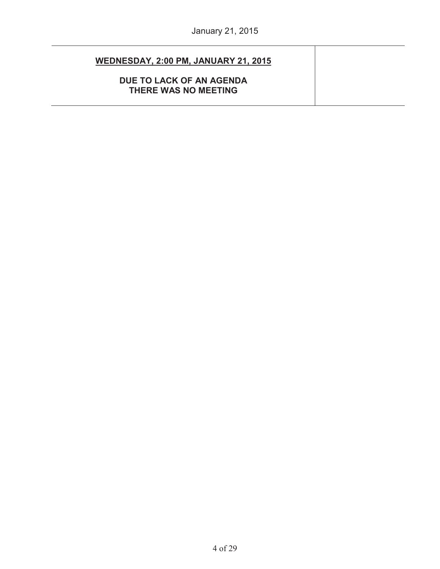| WEDNESDAY, 2:00 PM, JANUARY 21, 2015             |  |
|--------------------------------------------------|--|
| DUE TO LACK OF AN AGENDA<br>THERE WAS NO MEETING |  |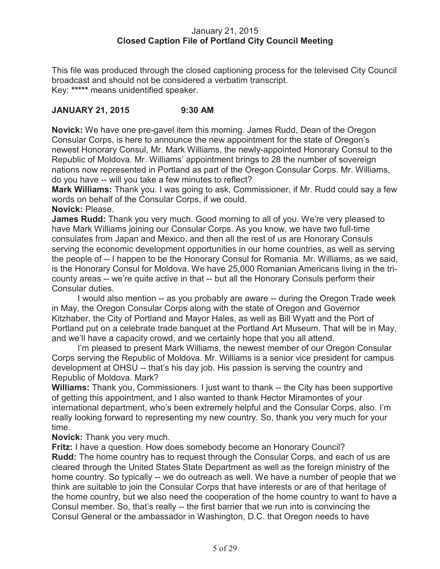#### January 21, 2015 **Closed Caption File of Portland City Council Meeting**

This file was produced through the closed captioning process for the televised City Council broadcast and should not be considered a verbatim transcript. Key: **\*\*\*\*\*** means unidentified speaker.

# **JANUARY 21, 2015 9:30 AM**

**Novick:** We have one pre-gavel item this morning. James Rudd, Dean of the Oregon Consular Corps, is here to announce the new appointment for the state of Oregon's newest Honorary Consul, Mr. Mark Williams, the newly-appointed Honorary Consul to the Republic of Moldova. Mr. Williams' appointment brings to 28 the number of sovereign nations now represented in Portland as part of the Oregon Consular Corps. Mr. Williams, do you have -- will you take a few minutes to reflect?

**Mark Williams:** Thank you. I was going to ask, Commissioner, if Mr. Rudd could say a few words on behalf of the Consular Corps, if we could.

**Novick:** Please.

**James Rudd:** Thank you very much. Good morning to all of you. We're very pleased to have Mark Williams joining our Consular Corps. As you know, we have two full-time consulates from Japan and Mexico, and then all the rest of us are Honorary Consuls serving the economic development opportunities in our home countries, as well as serving the people of -- I happen to be the Honorary Consul for Romania. Mr. Williams, as we said, is the Honorary Consul for Moldova. We have 25,000 Romanian Americans living in the tricounty areas -- we're quite active in that -- but all the Honorary Consuls perform their Consular duties.

I would also mention -- as you probably are aware -- during the Oregon Trade week in May, the Oregon Consular Corps along with the state of Oregon and Governor Kitzhaber, the City of Portland and Mayor Hales, as well as Bill Wyatt and the Port of Portland put on a celebrate trade banquet at the Portland Art Museum. That will be in May, and we'll have a capacity crowd, and we certainly hope that you all attend.

I'm pleased to present Mark Williams, the newest member of our Oregon Consular Corps serving the Republic of Moldova. Mr. Williams is a senior vice president for campus development at OHSU -- that's his day job. His passion is serving the country and Republic of Moldova. Mark?

**Williams:** Thank you, Commissioners. I just want to thank -- the City has been supportive of getting this appointment, and I also wanted to thank Hector Miramontes of your international department, who's been extremely helpful and the Consular Corps, also. I'm really looking forward to representing my new country. So, thank you very much for your time.

**Novick:** Thank you very much.

**Fritz:** I have a question. How does somebody become an Honorary Council? **Rudd:** The home country has to request through the Consular Corps, and each of us are cleared through the United States State Department as well as the foreign ministry of the home country. So typically -- we do outreach as well. We have a number of people that we think are suitable to join the Consular Corps that have interests or are of that heritage of the home country, but we also need the cooperation of the home country to want to have a Consul member. So, that's really -- the first barrier that we run into is convincing the Consul General or the ambassador in Washington, D.C. that Oregon needs to have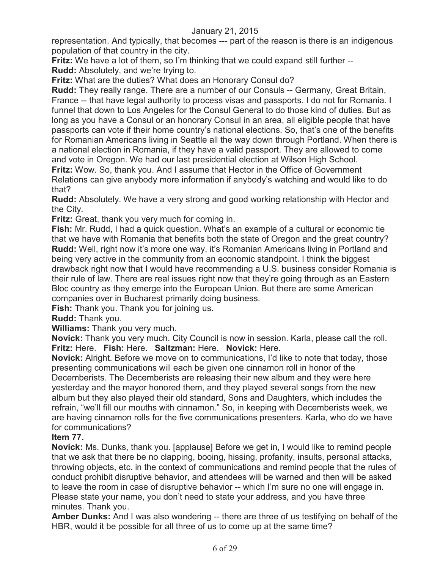representation. And typically, that becomes --- part of the reason is there is an indigenous population of that country in the city.

**Fritz:** We have a lot of them, so I'm thinking that we could expand still further -- **Rudd:** Absolutely, and we're trying to.

**Fritz:** What are the duties? What does an Honorary Consul do?

**Rudd:** They really range. There are a number of our Consuls -- Germany, Great Britain, France -- that have legal authority to process visas and passports. I do not for Romania. I funnel that down to Los Angeles for the Consul General to do those kind of duties. But as long as you have a Consul or an honorary Consul in an area, all eligible people that have passports can vote if their home country's national elections. So, that's one of the benefits for Romanian Americans living in Seattle all the way down through Portland. When there is a national election in Romania, if they have a valid passport. They are allowed to come and vote in Oregon. We had our last presidential election at Wilson High School.

**Fritz:** Wow. So, thank you. And I assume that Hector in the Office of Government Relations can give anybody more information if anybody's watching and would like to do that?

**Rudd:** Absolutely. We have a very strong and good working relationship with Hector and the City.

**Fritz:** Great, thank you very much for coming in.

**Fish:** Mr. Rudd, I had a quick question. What's an example of a cultural or economic tie that we have with Romania that benefits both the state of Oregon and the great country? **Rudd:** Well, right now it's more one way, it's Romanian Americans living in Portland and being very active in the community from an economic standpoint. I think the biggest drawback right now that I would have recommending a U.S. business consider Romania is their rule of law. There are real issues right now that they're going through as an Eastern Bloc country as they emerge into the European Union. But there are some American companies over in Bucharest primarily doing business.

**Fish:** Thank you. Thank you for joining us.

**Rudd:** Thank you.

**Williams:** Thank you very much.

**Novick:** Thank you very much. City Council is now in session. Karla, please call the roll. **Fritz:** Here. **Fish:** Here. **Saltzman:** Here. **Novick:** Here.

**Novick:** Alright. Before we move on to communications, I'd like to note that today, those presenting communications will each be given one cinnamon roll in honor of the Decemberists. The Decemberists are releasing their new album and they were here yesterday and the mayor honored them, and they played several songs from the new album but they also played their old standard, Sons and Daughters, which includes the refrain, "we'll fill our mouths with cinnamon." So, in keeping with Decemberists week, we are having cinnamon rolls for the five communications presenters. Karla, who do we have for communications?

#### **Item 77.**

**Novick:** Ms. Dunks, thank you. [applause] Before we get in, I would like to remind people that we ask that there be no clapping, booing, hissing, profanity, insults, personal attacks, throwing objects, etc. in the context of communications and remind people that the rules of conduct prohibit disruptive behavior, and attendees will be warned and then will be asked to leave the room in case of disruptive behavior -- which I'm sure no one will engage in. Please state your name, you don't need to state your address, and you have three minutes. Thank you.

**Amber Dunks:** And I was also wondering -- there are three of us testifying on behalf of the HBR, would it be possible for all three of us to come up at the same time?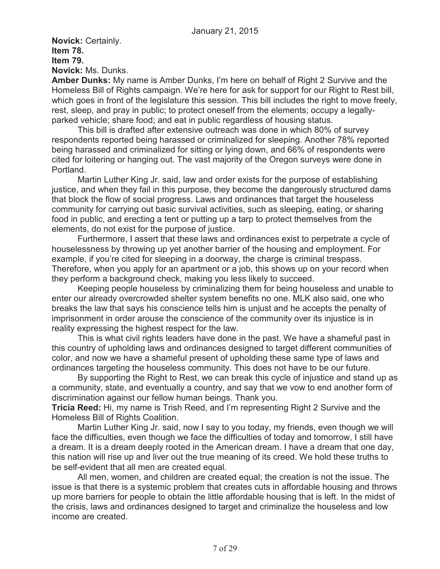**Novick:** Certainly. **Item 78. Item 79. Novick:** Ms. Dunks.

**Amber Dunks:** My name is Amber Dunks, I'm here on behalf of Right 2 Survive and the Homeless Bill of Rights campaign. We're here for ask for support for our Right to Rest bill, which goes in front of the legislature this session. This bill includes the right to move freely, rest, sleep, and pray in public; to protect oneself from the elements; occupy a legallyparked vehicle; share food; and eat in public regardless of housing status.

This bill is drafted after extensive outreach was done in which 80% of survey respondents reported being harassed or criminalized for sleeping. Another 78% reported being harassed and criminalized for sitting or lying down, and 66% of respondents were cited for loitering or hanging out. The vast majority of the Oregon surveys were done in Portland.

Martin Luther King Jr. said, law and order exists for the purpose of establishing justice, and when they fail in this purpose, they become the dangerously structured dams that block the flow of social progress. Laws and ordinances that target the houseless community for carrying out basic survival activities, such as sleeping, eating, or sharing food in public, and erecting a tent or putting up a tarp to protect themselves from the elements, do not exist for the purpose of justice.

Furthermore, I assert that these laws and ordinances exist to perpetrate a cycle of houselessness by throwing up yet another barrier of the housing and employment. For example, if you're cited for sleeping in a doorway, the charge is criminal trespass. Therefore, when you apply for an apartment or a job, this shows up on your record when they perform a background check, making you less likely to succeed.

Keeping people houseless by criminalizing them for being houseless and unable to enter our already overcrowded shelter system benefits no one. MLK also said, one who breaks the law that says his conscience tells him is unjust and he accepts the penalty of imprisonment in order arouse the conscience of the community over its injustice is in reality expressing the highest respect for the law.

This is what civil rights leaders have done in the past. We have a shameful past in this country of upholding laws and ordinances designed to target different communities of color, and now we have a shameful present of upholding these same type of laws and ordinances targeting the houseless community. This does not have to be our future.

By supporting the Right to Rest, we can break this cycle of injustice and stand up as a community, state, and eventually a country, and say that we vow to end another form of discrimination against our fellow human beings. Thank you.

**Tricia Reed:** Hi, my name is Trish Reed, and I'm representing Right 2 Survive and the Homeless Bill of Rights Coalition.

Martin Luther King Jr. said, now I say to you today, my friends, even though we will face the difficulties, even though we face the difficulties of today and tomorrow, I still have a dream. It is a dream deeply rooted in the American dream. I have a dream that one day, this nation will rise up and liver out the true meaning of its creed. We hold these truths to be self-evident that all men are created equal.

All men, women, and children are created equal; the creation is not the issue. The issue is that there is a systemic problem that creates cuts in affordable housing and throws up more barriers for people to obtain the little affordable housing that is left. In the midst of the crisis, laws and ordinances designed to target and criminalize the houseless and low income are created.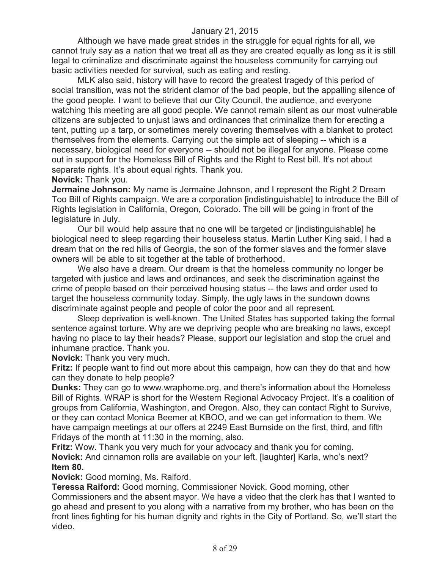Although we have made great strides in the struggle for equal rights for all, we cannot truly say as a nation that we treat all as they are created equally as long as it is still legal to criminalize and discriminate against the houseless community for carrying out basic activities needed for survival, such as eating and resting.

MLK also said, history will have to record the greatest tragedy of this period of social transition, was not the strident clamor of the bad people, but the appalling silence of the good people. I want to believe that our City Council, the audience, and everyone watching this meeting are all good people. We cannot remain silent as our most vulnerable citizens are subjected to unjust laws and ordinances that criminalize them for erecting a tent, putting up a tarp, or sometimes merely covering themselves with a blanket to protect themselves from the elements. Carrying out the simple act of sleeping -- which is a necessary, biological need for everyone -- should not be illegal for anyone. Please come out in support for the Homeless Bill of Rights and the Right to Rest bill. It's not about separate rights. It's about equal rights. Thank you.

#### **Novick:** Thank you.

**Jermaine Johnson:** My name is Jermaine Johnson, and I represent the Right 2 Dream Too Bill of Rights campaign. We are a corporation [indistinguishable] to introduce the Bill of Rights legislation in California, Oregon, Colorado. The bill will be going in front of the legislature in July.

Our bill would help assure that no one will be targeted or [indistinguishable] he biological need to sleep regarding their houseless status. Martin Luther King said, I had a dream that on the red hills of Georgia, the son of the former slaves and the former slave owners will be able to sit together at the table of brotherhood.

We also have a dream. Our dream is that the homeless community no longer be targeted with justice and laws and ordinances, and seek the discrimination against the crime of people based on their perceived housing status -- the laws and order used to target the houseless community today. Simply, the ugly laws in the sundown downs discriminate against people and people of color the poor and all represent.

Sleep deprivation is well-known. The United States has supported taking the formal sentence against torture. Why are we depriving people who are breaking no laws, except having no place to lay their heads? Please, support our legislation and stop the cruel and inhumane practice. Thank you.

**Novick:** Thank you very much.

**Fritz:** If people want to find out more about this campaign, how can they do that and how can they donate to help people?

**Dunks:** They can go to www.wraphome.org, and there's information about the Homeless Bill of Rights. WRAP is short for the Western Regional Advocacy Project. It's a coalition of groups from California, Washington, and Oregon. Also, they can contact Right to Survive, or they can contact Monica Beemer at KBOO, and we can get information to them. We have campaign meetings at our offers at 2249 East Burnside on the first, third, and fifth Fridays of the month at 11:30 in the morning, also.

**Fritz:** Wow. Thank you very much for your advocacy and thank you for coming. **Novick:** And cinnamon rolls are available on your left. [laughter] Karla, who's next? **Item 80.**

**Novick:** Good morning, Ms. Raiford.

**Teressa Raiford:** Good morning, Commissioner Novick. Good morning, other Commissioners and the absent mayor. We have a video that the clerk has that I wanted to go ahead and present to you along with a narrative from my brother, who has been on the front lines fighting for his human dignity and rights in the City of Portland. So, we'll start the video.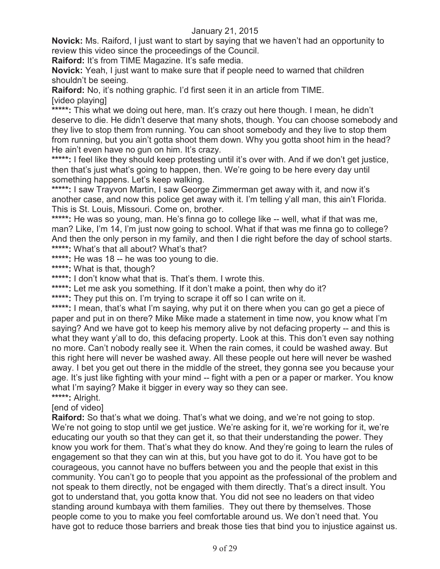**Novick:** Ms. Raiford, I just want to start by saying that we haven't had an opportunity to review this video since the proceedings of the Council.

**Raiford:** It's from TIME Magazine. It's safe media.

**Novick:** Yeah, I just want to make sure that if people need to warned that children shouldn't be seeing.

**Raiford:** No, it's nothing graphic. I'd first seen it in an article from TIME. [video playing]

\*\*\*\*\*: This what we doing out here, man. It's crazy out here though. I mean, he didn't deserve to die. He didn't deserve that many shots, though. You can choose somebody and they live to stop them from running. You can shoot somebody and they live to stop them from running, but you ain't gotta shoot them down. Why you gotta shoot him in the head? He ain't even have no gun on him. It's crazy.

\*\*\*\*\*: I feel like they should keep protesting until it's over with. And if we don't get justice, then that's just what's going to happen, then. We're going to be here every day until something happens. Let's keep walking.

**\*\*\*\*\*:** I saw Trayvon Martin, I saw George Zimmerman get away with it, and now it's another case, and now this police get away with it. I'm telling y'all man, this ain't Florida. This is St. Louis, Missouri. Come on, brother.

\*\*\*\*\*: He was so young, man. He's finna go to college like -- well, what if that was me, man? Like, I'm 14, I'm just now going to school. What if that was me finna go to college? And then the only person in my family, and then I die right before the day of school starts. **\*\*\*\*\*:** What's that all about? What's that?

**\*\*\*\*\*:** He was 18 -- he was too young to die.

**\*\*\*\*\*:** What is that, though?

**\*\*\*\*\*:** I don't know what that is. That's them. I wrote this.

\*\*\*\*\*: Let me ask you something. If it don't make a point, then why do it?

\*\*\*\*\*: They put this on. I'm trying to scrape it off so I can write on it.

\*\*\*\*\*: I mean, that's what I'm saying, why put it on there when you can go get a piece of paper and put in on there? Mike Mike made a statement in time now, you know what I'm saying? And we have got to keep his memory alive by not defacing property -- and this is what they want y'all to do, this defacing property. Look at this. This don't even say nothing no more. Can't nobody really see it. When the rain comes, it could be washed away. But this right here will never be washed away. All these people out here will never be washed away. I bet you get out there in the middle of the street, they gonna see you because your age. It's just like fighting with your mind -- fight with a pen or a paper or marker. You know what I'm saying? Make it bigger in every way so they can see. **\*\*\*\*\*:** Alright.

[end of video]

**Raiford:** So that's what we doing. That's what we doing, and we're not going to stop. We're not going to stop until we get justice. We're asking for it, we're working for it, we're educating our youth so that they can get it, so that their understanding the power. They know you work for them. That's what they do know. And they're going to learn the rules of engagement so that they can win at this, but you have got to do it. You have got to be courageous, you cannot have no buffers between you and the people that exist in this community. You can't go to people that you appoint as the professional of the problem and not speak to them directly, not be engaged with them directly. That's a direct insult. You got to understand that, you gotta know that. You did not see no leaders on that video standing around kumbaya with them families. They out there by themselves. Those people come to you to make you feel comfortable around us. We don't need that. You have got to reduce those barriers and break those ties that bind you to injustice against us.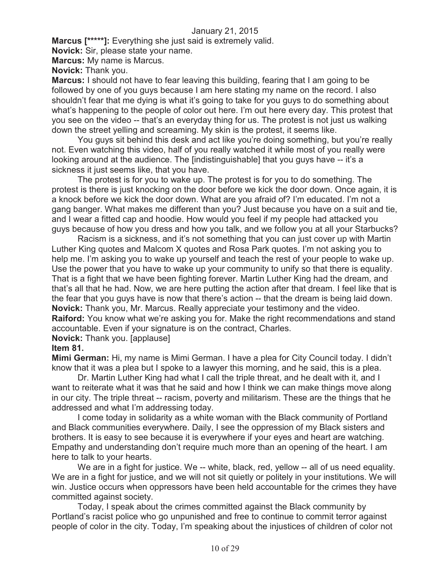**Marcus [\*\*\*\*\*]:** Everything she just said is extremely valid.

**Novick:** Sir, please state your name.

**Marcus:** My name is Marcus.

**Novick:** Thank you.

**Marcus:** I should not have to fear leaving this building, fearing that I am going to be followed by one of you guys because I am here stating my name on the record. I also shouldn't fear that me dying is what it's going to take for you guys to do something about what's happening to the people of color out here. I'm out here every day. This protest that you see on the video -- that's an everyday thing for us. The protest is not just us walking down the street yelling and screaming. My skin is the protest, it seems like.

You guys sit behind this desk and act like you're doing something, but you're really not. Even watching this video, half of you really watched it while most of you really were looking around at the audience. The [indistinguishable] that you guys have -- it's a sickness it just seems like, that you have.

The protest is for you to wake up. The protest is for you to do something. The protest is there is just knocking on the door before we kick the door down. Once again, it is a knock before we kick the door down. What are you afraid of? I'm educated. I'm not a gang banger. What makes me different than you? Just because you have on a suit and tie, and I wear a fitted cap and hoodie. How would you feel if my people had attacked you guys because of how you dress and how you talk, and we follow you at all your Starbucks?

Racism is a sickness, and it's not something that you can just cover up with Martin Luther King quotes and Malcom X quotes and Rosa Park quotes. I'm not asking you to help me. I'm asking you to wake up yourself and teach the rest of your people to wake up. Use the power that you have to wake up your community to unify so that there is equality. That is a fight that we have been fighting forever. Martin Luther King had the dream, and that's all that he had. Now, we are here putting the action after that dream. I feel like that is the fear that you guys have is now that there's action -- that the dream is being laid down. **Novick:** Thank you, Mr. Marcus. Really appreciate your testimony and the video. **Raiford:** You know what we're asking you for. Make the right recommendations and stand accountable. Even if your signature is on the contract, Charles.

**Novick:** Thank you. [applause]

#### **Item 81.**

**Mimi German:** Hi, my name is Mimi German. I have a plea for City Council today. I didn't know that it was a plea but I spoke to a lawyer this morning, and he said, this is a plea.

Dr. Martin Luther King had what I call the triple threat, and he dealt with it, and I want to reiterate what it was that he said and how I think we can make things move along in our city. The triple threat -- racism, poverty and militarism. These are the things that he addressed and what I'm addressing today.

I come today in solidarity as a white woman with the Black community of Portland and Black communities everywhere. Daily, I see the oppression of my Black sisters and brothers. It is easy to see because it is everywhere if your eyes and heart are watching. Empathy and understanding don't require much more than an opening of the heart. I am here to talk to your hearts.

We are in a fight for justice. We -- white, black, red, yellow -- all of us need equality. We are in a fight for justice, and we will not sit quietly or politely in your institutions. We will win. Justice occurs when oppressors have been held accountable for the crimes they have committed against society.

Today, I speak about the crimes committed against the Black community by Portland's racist police who go unpunished and free to continue to commit terror against people of color in the city. Today, I'm speaking about the injustices of children of color not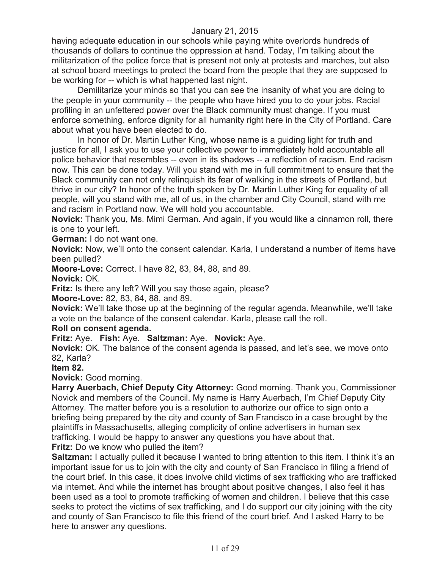having adequate education in our schools while paying white overlords hundreds of thousands of dollars to continue the oppression at hand. Today, I'm talking about the militarization of the police force that is present not only at protests and marches, but also at school board meetings to protect the board from the people that they are supposed to be working for -- which is what happened last night.

Demilitarize your minds so that you can see the insanity of what you are doing to the people in your community -- the people who have hired you to do your jobs. Racial profiling in an unfettered power over the Black community must change. If you must enforce something, enforce dignity for all humanity right here in the City of Portland. Care about what you have been elected to do.

In honor of Dr. Martin Luther King, whose name is a guiding light for truth and justice for all, I ask you to use your collective power to immediately hold accountable all police behavior that resembles -- even in its shadows -- a reflection of racism. End racism now. This can be done today. Will you stand with me in full commitment to ensure that the Black community can not only relinquish its fear of walking in the streets of Portland, but thrive in our city? In honor of the truth spoken by Dr. Martin Luther King for equality of all people, will you stand with me, all of us, in the chamber and City Council, stand with me and racism in Portland now. We will hold you accountable.

**Novick:** Thank you, Ms. Mimi German. And again, if you would like a cinnamon roll, there is one to your left.

**German:** I do not want one.

**Novick:** Now, we'll onto the consent calendar. Karla, I understand a number of items have been pulled?

**Moore-Love:** Correct. I have 82, 83, 84, 88, and 89.

**Novick:** OK.

**Fritz:** Is there any left? Will you say those again, please?

**Moore-Love:** 82, 83, 84, 88, and 89.

**Novick:** We'll take those up at the beginning of the regular agenda. Meanwhile, we'll take a vote on the balance of the consent calendar. Karla, please call the roll.

#### **Roll on consent agenda.**

**Fritz:** Aye. **Fish:** Aye. **Saltzman:** Aye. **Novick:** Aye.

**Novick:** OK. The balance of the consent agenda is passed, and let's see, we move onto 82, Karla?

**Item 82.**

**Novick:** Good morning.

**Harry Auerbach, Chief Deputy City Attorney:** Good morning. Thank you, Commissioner Novick and members of the Council. My name is Harry Auerbach, I'm Chief Deputy City Attorney. The matter before you is a resolution to authorize our office to sign onto a briefing being prepared by the city and county of San Francisco in a case brought by the plaintiffs in Massachusetts, alleging complicity of online advertisers in human sex trafficking. I would be happy to answer any questions you have about that. **Fritz:** Do we know who pulled the item?

**Saltzman:** I actually pulled it because I wanted to bring attention to this item. I think it's an important issue for us to join with the city and county of San Francisco in filing a friend of the court brief. In this case, it does involve child victims of sex trafficking who are trafficked via internet. And while the internet has brought about positive changes, I also feel it has been used as a tool to promote trafficking of women and children. I believe that this case seeks to protect the victims of sex trafficking, and I do support our city joining with the city and county of San Francisco to file this friend of the court brief. And I asked Harry to be here to answer any questions.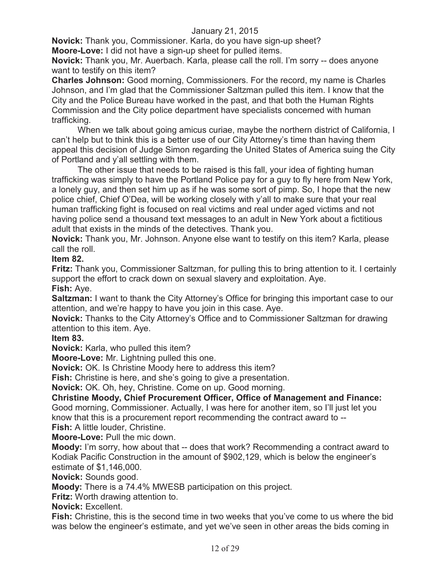**Novick:** Thank you, Commissioner. Karla, do you have sign-up sheet? **Moore-Love:** I did not have a sign-up sheet for pulled items.

**Novick:** Thank you, Mr. Auerbach. Karla, please call the roll. I'm sorry -- does anyone want to testify on this item?

**Charles Johnson:** Good morning, Commissioners. For the record, my name is Charles Johnson, and I'm glad that the Commissioner Saltzman pulled this item. I know that the City and the Police Bureau have worked in the past, and that both the Human Rights Commission and the City police department have specialists concerned with human trafficking.

When we talk about going amicus curiae, maybe the northern district of California, I can't help but to think this is a better use of our City Attorney's time than having them appeal this decision of Judge Simon regarding the United States of America suing the City of Portland and y'all settling with them.

The other issue that needs to be raised is this fall, your idea of fighting human trafficking was simply to have the Portland Police pay for a guy to fly here from New York, a lonely guy, and then set him up as if he was some sort of pimp. So, I hope that the new police chief, Chief O'Dea, will be working closely with y'all to make sure that your real human trafficking fight is focused on real victims and real under aged victims and not having police send a thousand text messages to an adult in New York about a fictitious adult that exists in the minds of the detectives. Thank you.

**Novick:** Thank you, Mr. Johnson. Anyone else want to testify on this item? Karla, please call the roll.

**Item 82.**

**Fritz:** Thank you, Commissioner Saltzman, for pulling this to bring attention to it. I certainly support the effort to crack down on sexual slavery and exploitation. Aye.

**Fish:** Aye.

**Saltzman:** I want to thank the City Attorney's Office for bringing this important case to our attention, and we're happy to have you join in this case. Aye.

**Novick:** Thanks to the City Attorney's Office and to Commissioner Saltzman for drawing attention to this item. Aye.

**Item 83.**

**Novick:** Karla, who pulled this item?

**Moore-Love:** Mr. Lightning pulled this one.

**Novick:** OK. Is Christine Moody here to address this item?

**Fish:** Christine is here, and she's going to give a presentation.

**Novick:** OK. Oh, hey, Christine. Come on up. Good morning.

**Christine Moody, Chief Procurement Officer, Office of Management and Finance:**  Good morning, Commissioner. Actually, I was here for another item, so I'll just let you

know that this is a procurement report recommending the contract award to --

**Fish:** A little louder, Christine.

**Moore-Love:** Pull the mic down.

**Moody:** I'm sorry, how about that -- does that work? Recommending a contract award to Kodiak Pacific Construction in the amount of \$902,129, which is below the engineer's estimate of \$1,146,000.

**Novick:** Sounds good.

**Moody:** There is a 74.4% MWESB participation on this project.

**Fritz:** Worth drawing attention to.

**Novick:** Excellent.

**Fish:** Christine, this is the second time in two weeks that you've come to us where the bid was below the engineer's estimate, and yet we've seen in other areas the bids coming in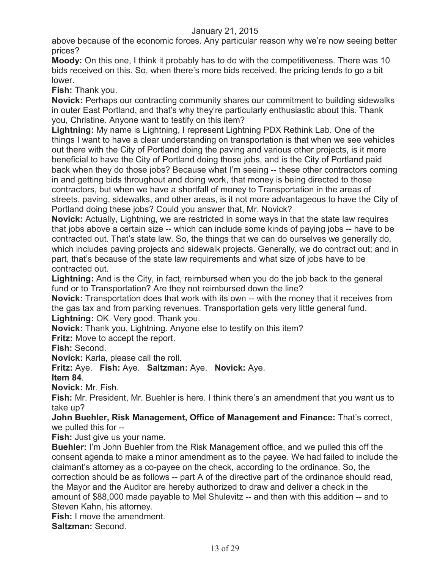above because of the economic forces. Any particular reason why we're now seeing better prices?

**Moody:** On this one, I think it probably has to do with the competitiveness. There was 10 bids received on this. So, when there's more bids received, the pricing tends to go a bit lower.

**Fish:** Thank you.

**Novick:** Perhaps our contracting community shares our commitment to building sidewalks in outer East Portland, and that's why they're particularly enthusiastic about this. Thank you, Christine. Anyone want to testify on this item?

**Lightning:** My name is Lightning, I represent Lightning PDX Rethink Lab. One of the things I want to have a clear understanding on transportation is that when we see vehicles out there with the City of Portland doing the paving and various other projects, is it more beneficial to have the City of Portland doing those jobs, and is the City of Portland paid back when they do those jobs? Because what I'm seeing -- these other contractors coming in and getting bids throughout and doing work, that money is being directed to those contractors, but when we have a shortfall of money to Transportation in the areas of streets, paving, sidewalks, and other areas, is it not more advantageous to have the City of Portland doing these jobs? Could you answer that, Mr. Novick?

**Novick:** Actually, Lightning, we are restricted in some ways in that the state law requires that jobs above a certain size -- which can include some kinds of paying jobs -- have to be contracted out. That's state law. So, the things that we can do ourselves we generally do, which includes paving projects and sidewalk projects. Generally, we do contract out; and in part, that's because of the state law requirements and what size of jobs have to be contracted out.

**Lightning:** And is the City, in fact, reimbursed when you do the job back to the general fund or to Transportation? Are they not reimbursed down the line?

**Novick:** Transportation does that work with its own -- with the money that it receives from the gas tax and from parking revenues. Transportation gets very little general fund. **Lightning:** OK. Very good. Thank you.

**Novick:** Thank you, Lightning. Anyone else to testify on this item?

**Fritz:** Move to accept the report.

**Fish:** Second.

**Novick:** Karla, please call the roll.

**Fritz:** Aye. **Fish:** Aye. **Saltzman:** Aye. **Novick:** Aye.

**Item 84**.

**Novick:** Mr. Fish.

**Fish:** Mr. President, Mr. Buehler is here. I think there's an amendment that you want us to take up?

**John Buehler, Risk Management, Office of Management and Finance:** That's correct, we pulled this for --

**Fish:** Just give us your name.

**Buehler:** I'm John Buehler from the Risk Management office, and we pulled this off the consent agenda to make a minor amendment as to the payee. We had failed to include the claimant's attorney as a co-payee on the check, according to the ordinance. So, the correction should be as follows -- part A of the directive part of the ordinance should read, the Mayor and the Auditor are hereby authorized to draw and deliver a check in the amount of \$88,000 made payable to Mel Shulevitz -- and then with this addition -- and to Steven Kahn, his attorney.

**Fish:** I move the amendment.

**Saltzman:** Second.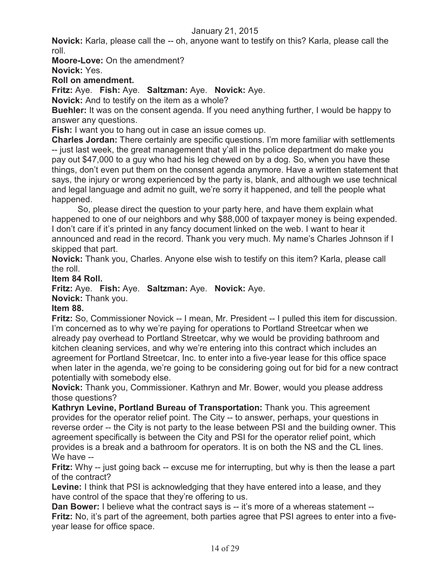**Novick:** Karla, please call the -- oh, anyone want to testify on this? Karla, please call the roll.

**Moore-Love:** On the amendment?

**Novick:** Yes.

**Roll on amendment.**

**Fritz:** Aye. **Fish:** Aye. **Saltzman:** Aye. **Novick:** Aye.

**Novick:** And to testify on the item as a whole?

**Buehler:** It was on the consent agenda. If you need anything further, I would be happy to answer any questions.

**Fish:** I want you to hang out in case an issue comes up.

**Charles Jordan:** There certainly are specific questions. I'm more familiar with settlements -- just last week, the great management that y'all in the police department do make you pay out \$47,000 to a guy who had his leg chewed on by a dog. So, when you have these things, don't even put them on the consent agenda anymore. Have a written statement that says, the injury or wrong experienced by the party is, blank, and although we use technical and legal language and admit no guilt, we're sorry it happened, and tell the people what happened.

So, please direct the question to your party here, and have them explain what happened to one of our neighbors and why \$88,000 of taxpayer money is being expended. I don't care if it's printed in any fancy document linked on the web. I want to hear it announced and read in the record. Thank you very much. My name's Charles Johnson if I skipped that part.

**Novick:** Thank you, Charles. Anyone else wish to testify on this item? Karla, please call the roll.

## **Item 84 Roll.**

**Fritz:** Aye. **Fish:** Aye. **Saltzman:** Aye. **Novick:** Aye.

**Novick:** Thank you.

#### **Item 88.**

**Fritz:** So, Commissioner Novick -- I mean, Mr. President -- I pulled this item for discussion. I'm concerned as to why we're paying for operations to Portland Streetcar when we already pay overhead to Portland Streetcar, why we would be providing bathroom and kitchen cleaning services, and why we're entering into this contract which includes an agreement for Portland Streetcar, Inc. to enter into a five-year lease for this office space when later in the agenda, we're going to be considering going out for bid for a new contract potentially with somebody else.

**Novick:** Thank you, Commissioner. Kathryn and Mr. Bower, would you please address those questions?

**Kathryn Levine, Portland Bureau of Transportation:** Thank you. This agreement provides for the operator relief point. The City -- to answer, perhaps, your questions in reverse order -- the City is not party to the lease between PSI and the building owner. This agreement specifically is between the City and PSI for the operator relief point, which provides is a break and a bathroom for operators. It is on both the NS and the CL lines. We have --

**Fritz:** Why -- just going back -- excuse me for interrupting, but why is then the lease a part of the contract?

**Levine:** I think that PSI is acknowledging that they have entered into a lease, and they have control of the space that they're offering to us.

**Dan Bower:** I believe what the contract says is -- it's more of a whereas statement --**Fritz:** No, it's part of the agreement, both parties agree that PSI agrees to enter into a fiveyear lease for office space.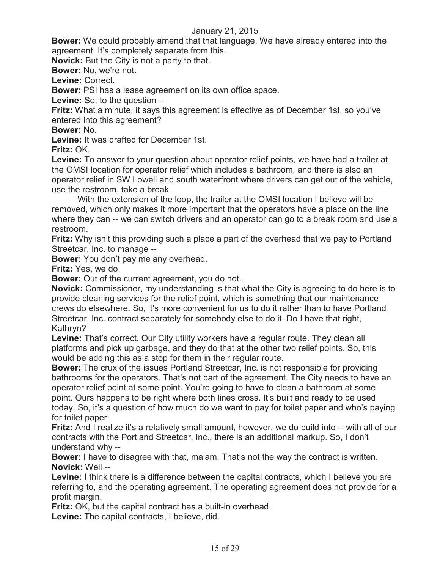**Bower:** We could probably amend that that language. We have already entered into the agreement. It's completely separate from this.

**Novick:** But the City is not a party to that.

**Bower:** No, we're not.

**Levine:** Correct.

**Bower:** PSI has a lease agreement on its own office space.

**Levine:** So, to the question --

**Fritz:** What a minute, it says this agreement is effective as of December 1st, so you've entered into this agreement?

**Bower:** No.

**Levine:** It was drafted for December 1st.

**Fritz:** OK.

**Levine:** To answer to your question about operator relief points, we have had a trailer at the OMSI location for operator relief which includes a bathroom, and there is also an operator relief in SW Lowell and south waterfront where drivers can get out of the vehicle, use the restroom, take a break.

With the extension of the loop, the trailer at the OMSI location I believe will be removed, which only makes it more important that the operators have a place on the line where they can -- we can switch drivers and an operator can go to a break room and use a restroom.

**Fritz:** Why isn't this providing such a place a part of the overhead that we pay to Portland Streetcar, Inc. to manage --

**Bower:** You don't pay me any overhead.

**Fritz:** Yes, we do.

**Bower:** Out of the current agreement, you do not.

**Novick:** Commissioner, my understanding is that what the City is agreeing to do here is to provide cleaning services for the relief point, which is something that our maintenance crews do elsewhere. So, it's more convenient for us to do it rather than to have Portland Streetcar, Inc. contract separately for somebody else to do it. Do I have that right, Kathryn?

**Levine:** That's correct. Our City utility workers have a regular route. They clean all platforms and pick up garbage, and they do that at the other two relief points. So, this would be adding this as a stop for them in their regular route.

**Bower:** The crux of the issues Portland Streetcar, Inc. is not responsible for providing bathrooms for the operators. That's not part of the agreement. The City needs to have an operator relief point at some point. You're going to have to clean a bathroom at some point. Ours happens to be right where both lines cross. It's built and ready to be used today. So, it's a question of how much do we want to pay for toilet paper and who's paying for toilet paper.

**Fritz:** And I realize it's a relatively small amount, however, we do build into -- with all of our contracts with the Portland Streetcar, Inc., there is an additional markup. So, I don't understand why --

**Bower:** I have to disagree with that, ma'am. That's not the way the contract is written. **Novick:** Well --

**Levine:** I think there is a difference between the capital contracts, which I believe you are referring to, and the operating agreement. The operating agreement does not provide for a profit margin.

**Fritz:** OK, but the capital contract has a built-in overhead.

**Levine:** The capital contracts, I believe, did.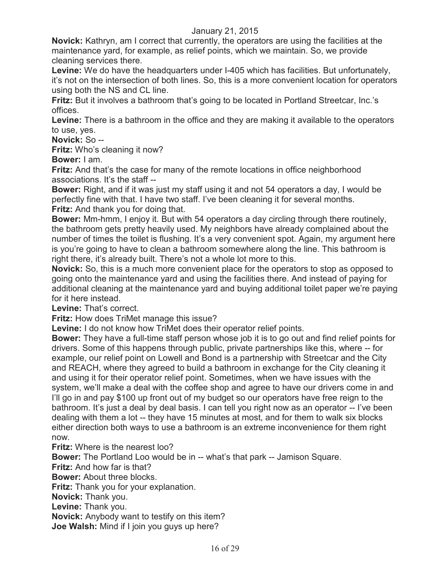**Novick:** Kathryn, am I correct that currently, the operators are using the facilities at the maintenance yard, for example, as relief points, which we maintain. So, we provide cleaning services there.

**Levine:** We do have the headquarters under I-405 which has facilities. But unfortunately, it's not on the intersection of both lines. So, this is a more convenient location for operators using both the NS and CL line.

**Fritz:** But it involves a bathroom that's going to be located in Portland Streetcar, Inc.'s offices.

**Levine:** There is a bathroom in the office and they are making it available to the operators to use, yes.

**Novick:** So --

**Fritz:** Who's cleaning it now?

**Bower:** I am.

**Fritz:** And that's the case for many of the remote locations in office neighborhood associations. It's the staff --

**Bower:** Right, and if it was just my staff using it and not 54 operators a day, I would be perfectly fine with that. I have two staff. I've been cleaning it for several months. **Fritz:** And thank you for doing that.

**Bower:** Mm-hmm, I enjoy it. But with 54 operators a day circling through there routinely, the bathroom gets pretty heavily used. My neighbors have already complained about the number of times the toilet is flushing. It's a very convenient spot. Again, my argument here is you're going to have to clean a bathroom somewhere along the line. This bathroom is right there, it's already built. There's not a whole lot more to this.

**Novick:** So, this is a much more convenient place for the operators to stop as opposed to going onto the maintenance yard and using the facilities there. And instead of paying for additional cleaning at the maintenance yard and buying additional toilet paper we're paying for it here instead.

**Levine:** That's correct.

**Fritz:** How does TriMet manage this issue?

**Levine:** I do not know how TriMet does their operator relief points.

**Bower:** They have a full-time staff person whose job it is to go out and find relief points for drivers. Some of this happens through public, private partnerships like this, where -- for example, our relief point on Lowell and Bond is a partnership with Streetcar and the City and REACH, where they agreed to build a bathroom in exchange for the City cleaning it and using it for their operator relief point. Sometimes, when we have issues with the system, we'll make a deal with the coffee shop and agree to have our drivers come in and I'll go in and pay \$100 up front out of my budget so our operators have free reign to the bathroom. It's just a deal by deal basis. I can tell you right now as an operator -- I've been dealing with them a lot -- they have 15 minutes at most, and for them to walk six blocks either direction both ways to use a bathroom is an extreme inconvenience for them right now.

**Fritz:** Where is the nearest loo?

**Bower:** The Portland Loo would be in -- what's that park -- Jamison Square.

**Fritz:** And how far is that?

**Bower:** About three blocks.

**Fritz:** Thank you for your explanation.

**Novick:** Thank you.

**Levine:** Thank you.

**Novick:** Anybody want to testify on this item?

**Joe Walsh:** Mind if I join you guys up here?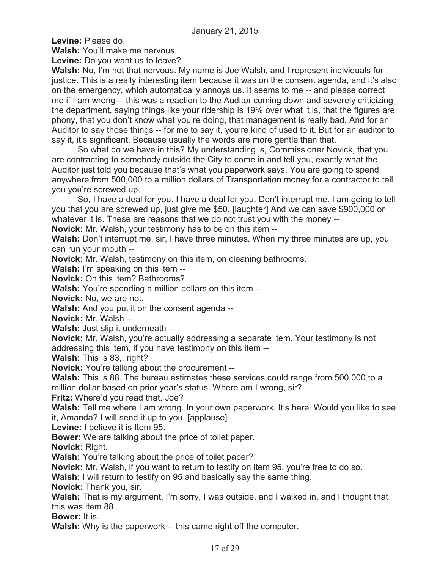**Levine:** Please do.

**Walsh:** You'll make me nervous.

**Levine:** Do you want us to leave?

**Walsh:** No, I'm not that nervous. My name is Joe Walsh, and I represent individuals for justice. This is a really interesting item because it was on the consent agenda, and it's also on the emergency, which automatically annoys us. It seems to me -- and please correct me if I am wrong -- this was a reaction to the Auditor coming down and severely criticizing the department, saying things like your ridership is 19% over what it is, that the figures are phony, that you don't know what you're doing, that management is really bad. And for an Auditor to say those things -- for me to say it, you're kind of used to it. But for an auditor to say it, it's significant. Because usually the words are more gentle than that.

So what do we have in this? My understanding is, Commissioner Novick, that you are contracting to somebody outside the City to come in and tell you, exactly what the Auditor just told you because that's what you paperwork says. You are going to spend anywhere from 500,000 to a million dollars of Transportation money for a contractor to tell you you're screwed up.

So, I have a deal for you. I have a deal for you. Don't interrupt me. I am going to tell you that you are screwed up, just give me \$50. [laughter] And we can save \$900,000 or whatever it is. These are reasons that we do not trust you with the money --

**Novick:** Mr. Walsh, your testimony has to be on this item --

**Walsh:** Don't interrupt me, sir, I have three minutes. When my three minutes are up, you can run your mouth --

**Novick:** Mr. Walsh, testimony on this item, on cleaning bathrooms.

**Walsh:** I'm speaking on this item --

**Novick:** On this item? Bathrooms?

**Walsh:** You're spending a million dollars on this item --

**Novick:** No, we are not.

**Walsh:** And you put it on the consent agenda --

**Novick:** Mr. Walsh --

**Walsh:** Just slip it underneath --

**Novick:** Mr. Walsh, you're actually addressing a separate item. Your testimony is not addressing this item, if you have testimony on this item --

**Walsh:** This is 83,, right?

**Novick:** You're talking about the procurement --

**Walsh:** This is 88. The bureau estimates these services could range from 500,000 to a million dollar based on prior year's status. Where am I wrong, sir?

**Fritz:** Where'd you read that, Joe?

**Walsh:** Tell me where I am wrong. In your own paperwork. It's here. Would you like to see it, Amanda? I will send it up to you. [applause]

**Levine:** I believe it is Item 95.

**Bower:** We are talking about the price of toilet paper.

**Novick:** Right.

**Walsh:** You're talking about the price of toilet paper?

**Novick:** Mr. Walsh, if you want to return to testify on item 95, you're free to do so.

**Walsh:** I will return to testify on 95 and basically say the same thing.

**Novick:** Thank you, sir.

**Walsh:** That is my argument. I'm sorry, I was outside, and I walked in, and I thought that this was item 88.

**Bower:** It is.

**Walsh:** Why is the paperwork -- this came right off the computer.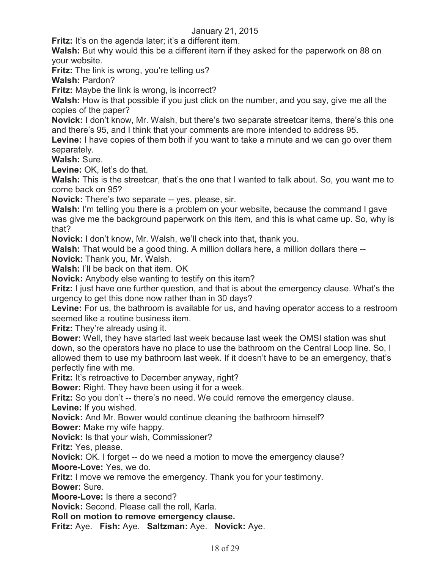**Fritz:** It's on the agenda later; it's a different item.

**Walsh:** But why would this be a different item if they asked for the paperwork on 88 on your website.

**Fritz:** The link is wrong, you're telling us?

**Walsh:** Pardon?

**Fritz:** Maybe the link is wrong, is incorrect?

**Walsh:** How is that possible if you just click on the number, and you say, give me all the copies of the paper?

**Novick:** I don't know, Mr. Walsh, but there's two separate streetcar items, there's this one and there's 95, and I think that your comments are more intended to address 95.

**Levine:** I have copies of them both if you want to take a minute and we can go over them separately.

**Walsh:** Sure.

Levine: OK, let's do that.

Walsh: This is the streetcar, that's the one that I wanted to talk about. So, you want me to come back on 95?

**Novick:** There's two separate -- yes, please, sir.

**Walsh:** I'm telling you there is a problem on your website, because the command I gave was give me the background paperwork on this item, and this is what came up. So, why is that?

**Novick:** I don't know, Mr. Walsh, we'll check into that, thank you.

**Walsh:** That would be a good thing. A million dollars here, a million dollars there --

**Novick:** Thank you, Mr. Walsh.

**Walsh:** I'll be back on that item. OK

**Novick:** Anybody else wanting to testify on this item?

**Fritz:** I just have one further question, and that is about the emergency clause. What's the urgency to get this done now rather than in 30 days?

Levine: For us, the bathroom is available for us, and having operator access to a restroom seemed like a routine business item.

**Fritz:** They're already using it.

**Bower:** Well, they have started last week because last week the OMSI station was shut down, so the operators have no place to use the bathroom on the Central Loop line. So, I allowed them to use my bathroom last week. If it doesn't have to be an emergency, that's perfectly fine with me.

**Fritz:** It's retroactive to December anyway, right?

**Bower:** Right. They have been using it for a week.

**Fritz:** So you don't -- there's no need. We could remove the emergency clause. **Levine:** If you wished.

**Novick:** And Mr. Bower would continue cleaning the bathroom himself?

**Bower:** Make my wife happy.

**Novick:** Is that your wish, Commissioner?

**Fritz:** Yes, please.

**Novick:** OK. I forget -- do we need a motion to move the emergency clause? **Moore-Love:** Yes, we do.

**Fritz:** I move we remove the emergency. Thank you for your testimony.

**Bower:** Sure.

**Moore-Love:** Is there a second?

**Novick:** Second. Please call the roll, Karla.

**Roll on motion to remove emergency clause.**

**Fritz:** Aye. **Fish:** Aye. **Saltzman:** Aye. **Novick:** Aye.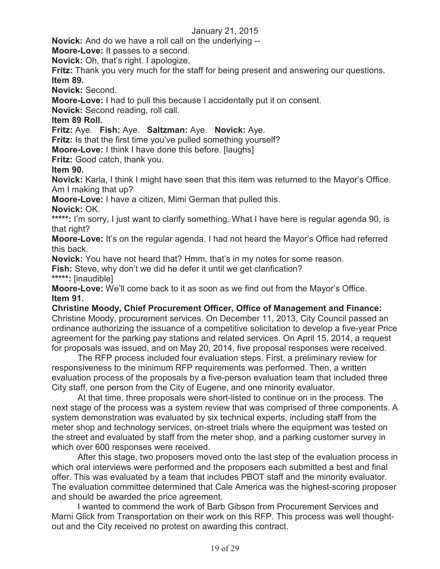**Novick:** And do we have a roll call on the underlying --

**Moore-Love:** It passes to a second.

**Novick:** Oh, that's right. I apologize.

**Fritz:** Thank you very much for the staff for being present and answering our questions. **Item 89.**

**Novick:** Second.

**Moore-Love:** I had to pull this because I accidentally put it on consent.

**Novick:** Second reading, roll call.

**Item 89 Roll.**

**Fritz:** Aye. **Fish:** Aye. **Saltzman:** Aye. **Novick:** Aye.

**Fritz:** Is that the first time you've pulled something yourself?

**Moore-Love:** I think I have done this before. [laughs]

**Fritz:** Good catch, thank you.

**Item 90.**

**Novick:** Karla, I think I might have seen that this item was returned to the Mayor's Office. Am I making that up?

**Moore-Love:** I have a citizen, Mimi German that pulled this.

**Novick:** OK.

\*\*\*\*\*: I'm sorry, I just want to clarify something. What I have here is regular agenda 90, is that right?

**Moore-Love:** It's on the regular agenda. I had not heard the Mayor's Office had referred this back.

**Novick:** You have not heard that? Hmm, that's in my notes for some reason.

**Fish:** Steve, why don't we did he defer it until we get clarification?

**\*\*\*\*\*:** [inaudible]

**Moore-Love:** We'll come back to it as soon as we find out from the Mayor's Office. **Item 91.**

**Christine Moody, Chief Procurement Officer, Office of Management and Finance:**  Christine Moody, procurement services. On December 11, 2013, City Council passed an ordinance authorizing the issuance of a competitive solicitation to develop a five-year Price agreement for the parking pay stations and related services. On April 15, 2014, a request for proposals was issued, and on May 20, 2014, five proposal responses were received.

The RFP process included four evaluation steps. First, a preliminary review for responsiveness to the minimum RFP requirements was performed. Then, a written evaluation process of the proposals by a five-person evaluation team that included three City staff, one person from the City of Eugene, and one minority evaluator.

At that time, three proposals were short-listed to continue on in the process. The next stage of the process was a system review that was comprised of three components. A system demonstration was evaluated by six technical experts, including staff from the meter shop and technology services, on-street trials where the equipment was tested on the street and evaluated by staff from the meter shop, and a parking customer survey in which over 600 responses were received.

After this stage, two proposers moved onto the last step of the evaluation process in which oral interviews were performed and the proposers each submitted a best and final offer. This was evaluated by a team that includes PBOT staff and the minority evaluator. The evaluation committee determined that Cale America was the highest-scoring proposer and should be awarded the price agreement.

I wanted to commend the work of Barb Gibson from Procurement Services and Marni Glick from Transportation on their work on this RFP. This process was well thoughtout and the City received no protest on awarding this contract.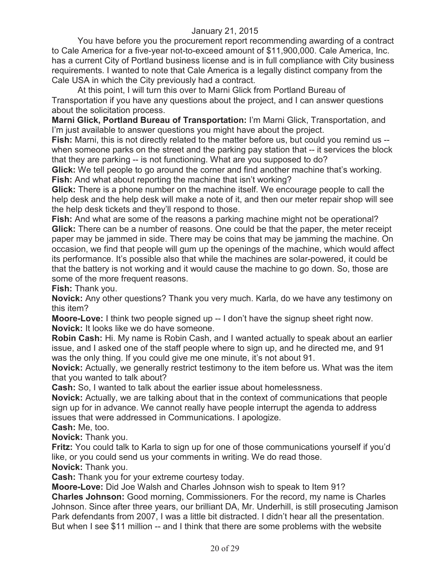You have before you the procurement report recommending awarding of a contract to Cale America for a five-year not-to-exceed amount of \$11,900,000. Cale America, Inc. has a current City of Portland business license and is in full compliance with City business requirements. I wanted to note that Cale America is a legally distinct company from the Cale USA in which the City previously had a contract.

At this point, I will turn this over to Marni Glick from Portland Bureau of Transportation if you have any questions about the project, and I can answer questions about the solicitation process.

**Marni Glick, Portland Bureau of Transportation:** I'm Marni Glick, Transportation, and I'm just available to answer questions you might have about the project.

**Fish:** Marni, this is not directly related to the matter before us, but could you remind us - when someone parks on the street and the parking pay station that -- it services the block that they are parking -- is not functioning. What are you supposed to do?

**Glick:** We tell people to go around the corner and find another machine that's working. **Fish:** And what about reporting the machine that isn't working?

**Glick:** There is a phone number on the machine itself. We encourage people to call the help desk and the help desk will make a note of it, and then our meter repair shop will see the help desk tickets and they'll respond to those.

**Fish:** And what are some of the reasons a parking machine might not be operational? **Glick:** There can be a number of reasons. One could be that the paper, the meter receipt paper may be jammed in side. There may be coins that may be jamming the machine. On occasion, we find that people will gum up the openings of the machine, which would affect its performance. It's possible also that while the machines are solar-powered, it could be that the battery is not working and it would cause the machine to go down. So, those are some of the more frequent reasons.

**Fish:** Thank you.

**Novick:** Any other questions? Thank you very much. Karla, do we have any testimony on this item?

**Moore-Love:** I think two people signed up -- I don't have the signup sheet right now. **Novick:** It looks like we do have someone.

**Robin Cash:** Hi. My name is Robin Cash, and I wanted actually to speak about an earlier issue, and I asked one of the staff people where to sign up, and he directed me, and 91 was the only thing. If you could give me one minute, it's not about 91.

**Novick:** Actually, we generally restrict testimony to the item before us. What was the item that you wanted to talk about?

**Cash:** So, I wanted to talk about the earlier issue about homelessness.

**Novick:** Actually, we are talking about that in the context of communications that people sign up for in advance. We cannot really have people interrupt the agenda to address issues that were addressed in Communications. I apologize.

**Cash:** Me, too.

**Novick:** Thank you.

**Fritz:** You could talk to Karla to sign up for one of those communications yourself if you'd like, or you could send us your comments in writing. We do read those.

**Novick:** Thank you.

**Cash:** Thank you for your extreme courtesy today.

**Moore-Love:** Did Joe Walsh and Charles Johnson wish to speak to Item 91?

**Charles Johnson:** Good morning, Commissioners. For the record, my name is Charles Johnson. Since after three years, our brilliant DA, Mr. Underhill, is still prosecuting Jamison Park defendants from 2007, I was a little bit distracted. I didn't hear all the presentation. But when I see \$11 million -- and I think that there are some problems with the website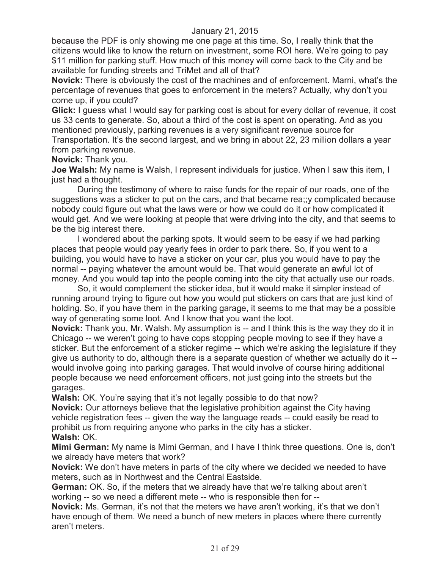because the PDF is only showing me one page at this time. So, I really think that the citizens would like to know the return on investment, some ROI here. We're going to pay \$11 million for parking stuff. How much of this money will come back to the City and be available for funding streets and TriMet and all of that?

**Novick:** There is obviously the cost of the machines and of enforcement. Marni, what's the percentage of revenues that goes to enforcement in the meters? Actually, why don't you come up, if you could?

**Glick:** I guess what I would say for parking cost is about for every dollar of revenue, it cost us 33 cents to generate. So, about a third of the cost is spent on operating. And as you mentioned previously, parking revenues is a very significant revenue source for Transportation. It's the second largest, and we bring in about 22, 23 million dollars a year from parking revenue.

**Novick:** Thank you.

**Joe Walsh:** My name is Walsh, I represent individuals for justice. When I saw this item, I just had a thought.

During the testimony of where to raise funds for the repair of our roads, one of the suggestions was a sticker to put on the cars, and that became rea;;y complicated because nobody could figure out what the laws were or how we could do it or how complicated it would get. And we were looking at people that were driving into the city, and that seems to be the big interest there.

I wondered about the parking spots. It would seem to be easy if we had parking places that people would pay yearly fees in order to park there. So, if you went to a building, you would have to have a sticker on your car, plus you would have to pay the normal -- paying whatever the amount would be. That would generate an awful lot of money. And you would tap into the people coming into the city that actually use our roads.

So, it would complement the sticker idea, but it would make it simpler instead of running around trying to figure out how you would put stickers on cars that are just kind of holding. So, if you have them in the parking garage, it seems to me that may be a possible way of generating some loot. And I know that you want the loot.

**Novick:** Thank you, Mr. Walsh. My assumption is -- and I think this is the way they do it in Chicago -- we weren't going to have cops stopping people moving to see if they have a sticker. But the enforcement of a sticker regime -- which we're asking the legislature if they give us authority to do, although there is a separate question of whether we actually do it - would involve going into parking garages. That would involve of course hiring additional people because we need enforcement officers, not just going into the streets but the garages.

Walsh: OK. You're saying that it's not legally possible to do that now?

**Novick:** Our attorneys believe that the legislative prohibition against the City having vehicle registration fees -- given the way the language reads -- could easily be read to prohibit us from requiring anyone who parks in the city has a sticker. **Walsh:** OK.

**Mimi German:** My name is Mimi German, and I have I think three questions. One is, don't we already have meters that work?

**Novick:** We don't have meters in parts of the city where we decided we needed to have meters, such as in Northwest and the Central Eastside.

**German:** OK. So, if the meters that we already have that we're talking about aren't working -- so we need a different mete -- who is responsible then for --

**Novick:** Ms. German, it's not that the meters we have aren't working, it's that we don't have enough of them. We need a bunch of new meters in places where there currently aren't meters.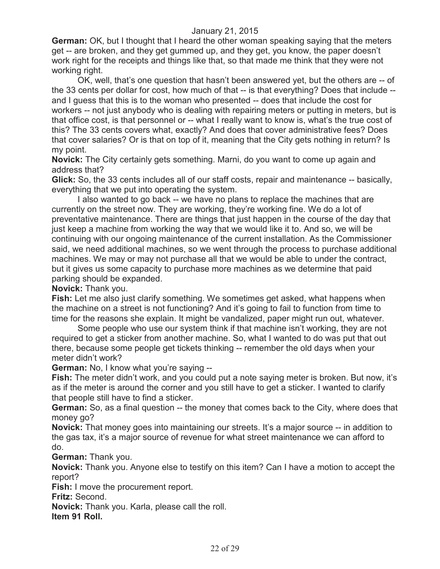**German:** OK, but I thought that I heard the other woman speaking saying that the meters get -- are broken, and they get gummed up, and they get, you know, the paper doesn't work right for the receipts and things like that, so that made me think that they were not working right.

OK, well, that's one question that hasn't been answered yet, but the others are -- of the 33 cents per dollar for cost, how much of that -- is that everything? Does that include -and I guess that this is to the woman who presented -- does that include the cost for workers -- not just anybody who is dealing with repairing meters or putting in meters, but is that office cost, is that personnel or -- what I really want to know is, what's the true cost of this? The 33 cents covers what, exactly? And does that cover administrative fees? Does that cover salaries? Or is that on top of it, meaning that the City gets nothing in return? Is my point.

**Novick:** The City certainly gets something. Marni, do you want to come up again and address that?

**Glick:** So, the 33 cents includes all of our staff costs, repair and maintenance -- basically, everything that we put into operating the system.

I also wanted to go back -- we have no plans to replace the machines that are currently on the street now. They are working, they're working fine. We do a lot of preventative maintenance. There are things that just happen in the course of the day that just keep a machine from working the way that we would like it to. And so, we will be continuing with our ongoing maintenance of the current installation. As the Commissioner said, we need additional machines, so we went through the process to purchase additional machines. We may or may not purchase all that we would be able to under the contract, but it gives us some capacity to purchase more machines as we determine that paid parking should be expanded.

**Novick:** Thank you.

**Fish:** Let me also just clarify something. We sometimes get asked, what happens when the machine on a street is not functioning? And it's going to fail to function from time to time for the reasons she explain. It might be vandalized, paper might run out, whatever.

Some people who use our system think if that machine isn't working, they are not required to get a sticker from another machine. So, what I wanted to do was put that out there, because some people get tickets thinking -- remember the old days when your meter didn't work?

**German:** No, I know what you're saying --

**Fish:** The meter didn't work, and you could put a note saying meter is broken. But now, it's as if the meter is around the corner and you still have to get a sticker. I wanted to clarify that people still have to find a sticker.

**German:** So, as a final question -- the money that comes back to the City, where does that money go?

**Novick:** That money goes into maintaining our streets. It's a major source -- in addition to the gas tax, it's a major source of revenue for what street maintenance we can afford to do.

**German:** Thank you.

**Novick:** Thank you. Anyone else to testify on this item? Can I have a motion to accept the report?

**Fish:** I move the procurement report.

**Fritz:** Second.

**Novick:** Thank you. Karla, please call the roll.

**Item 91 Roll.**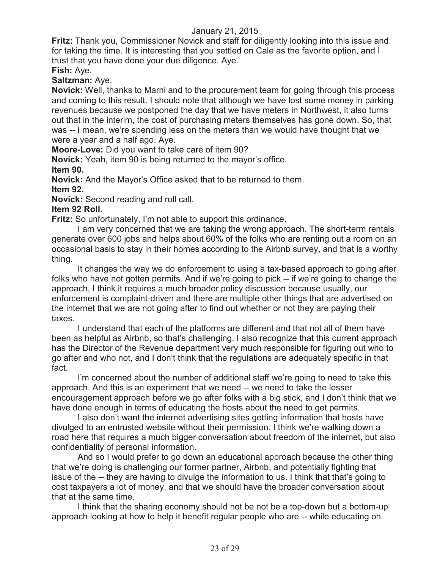**Fritz:** Thank you, Commissioner Novick and staff for diligently looking into this issue and for taking the time. It is interesting that you settled on Cale as the favorite option, and I trust that you have done your due diligence. Aye. **Fish:** Aye.

**Saltzman:** Aye.

**Novick:** Well, thanks to Marni and to the procurement team for going through this process and coming to this result. I should note that although we have lost some money in parking revenues because we postponed the day that we have meters in Northwest, it also turns out that in the interim, the cost of purchasing meters themselves has gone down. So, that was -- I mean, we're spending less on the meters than we would have thought that we were a year and a half ago. Aye.

**Moore-Love:** Did you want to take care of item 90?

**Novick:** Yeah, item 90 is being returned to the mayor's office.

**Item 90.**

**Novick:** And the Mayor's Office asked that to be returned to them. **Item 92.**

**Novick:** Second reading and roll call.

#### **Item 92 Roll.**

**Fritz:** So unfortunately, I'm not able to support this ordinance.

I am very concerned that we are taking the wrong approach. The short-term rentals generate over 600 jobs and helps about 60% of the folks who are renting out a room on an occasional basis to stay in their homes according to the Airbnb survey, and that is a worthy thing.

It changes the way we do enforcement to using a tax-based approach to going after folks who have not gotten permits. And if we're going to pick -- if we're going to change the approach, I think it requires a much broader policy discussion because usually, our enforcement is complaint-driven and there are multiple other things that are advertised on the internet that we are not going after to find out whether or not they are paying their taxes.

I understand that each of the platforms are different and that not all of them have been as helpful as Airbnb, so that's challenging. I also recognize that this current approach has the Director of the Revenue department very much responsible for figuring out who to go after and who not, and I don't think that the regulations are adequately specific in that fact.

I'm concerned about the number of additional staff we're going to need to take this approach. And this is an experiment that we need -- we need to take the lesser encouragement approach before we go after folks with a big stick, and I don't think that we have done enough in terms of educating the hosts about the need to get permits.

I also don't want the internet advertising sites getting information that hosts have divulged to an entrusted website without their permission. I think we're walking down a road here that requires a much bigger conversation about freedom of the internet, but also confidentiality of personal information.

And so I would prefer to go down an educational approach because the other thing that we're doing is challenging our former partner, Airbnb, and potentially fighting that issue of the -- they are having to divulge the information to us. I think that that's going to cost taxpayers a lot of money, and that we should have the broader conversation about that at the same time.

I think that the sharing economy should not be not be a top-down but a bottom-up approach looking at how to help it benefit regular people who are -- while educating on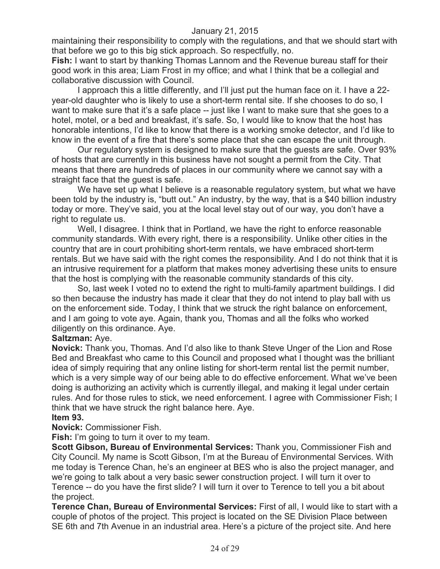maintaining their responsibility to comply with the regulations, and that we should start with that before we go to this big stick approach. So respectfully, no.

**Fish:** I want to start by thanking Thomas Lannom and the Revenue bureau staff for their good work in this area; Liam Frost in my office; and what I think that be a collegial and collaborative discussion with Council.

I approach this a little differently, and I'll just put the human face on it. I have a 22 year-old daughter who is likely to use a short-term rental site. If she chooses to do so, I want to make sure that it's a safe place -- just like I want to make sure that she goes to a hotel, motel, or a bed and breakfast, it's safe. So, I would like to know that the host has honorable intentions, I'd like to know that there is a working smoke detector, and I'd like to know in the event of a fire that there's some place that she can escape the unit through.

Our regulatory system is designed to make sure that the guests are safe. Over 93% of hosts that are currently in this business have not sought a permit from the City. That means that there are hundreds of places in our community where we cannot say with a straight face that the guest is safe.

We have set up what I believe is a reasonable regulatory system, but what we have been told by the industry is, "butt out." An industry, by the way, that is a \$40 billion industry today or more. They've said, you at the local level stay out of our way, you don't have a right to regulate us.

Well, I disagree. I think that in Portland, we have the right to enforce reasonable community standards. With every right, there is a responsibility. Unlike other cities in the country that are in court prohibiting short-term rentals, we have embraced short-term rentals. But we have said with the right comes the responsibility. And I do not think that it is an intrusive requirement for a platform that makes money advertising these units to ensure that the host is complying with the reasonable community standards of this city.

So, last week I voted no to extend the right to multi-family apartment buildings. I did so then because the industry has made it clear that they do not intend to play ball with us on the enforcement side. Today, I think that we struck the right balance on enforcement, and I am going to vote aye. Again, thank you, Thomas and all the folks who worked diligently on this ordinance. Aye.

#### **Saltzman:** Aye.

**Novick:** Thank you, Thomas. And I'd also like to thank Steve Unger of the Lion and Rose Bed and Breakfast who came to this Council and proposed what I thought was the brilliant idea of simply requiring that any online listing for short-term rental list the permit number, which is a very simple way of our being able to do effective enforcement. What we've been doing is authorizing an activity which is currently illegal, and making it legal under certain rules. And for those rules to stick, we need enforcement. I agree with Commissioner Fish; I think that we have struck the right balance here. Aye.

#### **Item 93.**

**Novick:** Commissioner Fish.

**Fish:** I'm going to turn it over to my team.

**Scott Gibson, Bureau of Environmental Services:** Thank you, Commissioner Fish and City Council. My name is Scott Gibson, I'm at the Bureau of Environmental Services. With me today is Terence Chan, he's an engineer at BES who is also the project manager, and we're going to talk about a very basic sewer construction project. I will turn it over to Terence -- do you have the first slide? I will turn it over to Terence to tell you a bit about the project.

**Terence Chan, Bureau of Environmental Services:** First of all, I would like to start with a couple of photos of the project. This project is located on the SE Division Place between SE 6th and 7th Avenue in an industrial area. Here's a picture of the project site. And here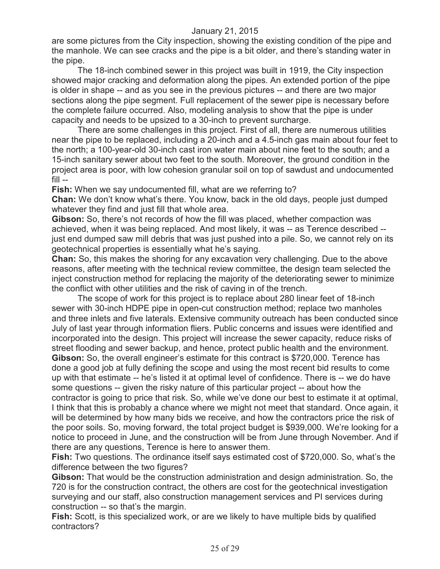are some pictures from the City inspection, showing the existing condition of the pipe and the manhole. We can see cracks and the pipe is a bit older, and there's standing water in the pipe.

The 18-inch combined sewer in this project was built in 1919, the City inspection showed major cracking and deformation along the pipes. An extended portion of the pipe is older in shape -- and as you see in the previous pictures -- and there are two major sections along the pipe segment. Full replacement of the sewer pipe is necessary before the complete failure occurred. Also, modeling analysis to show that the pipe is under capacity and needs to be upsized to a 30-inch to prevent surcharge.

There are some challenges in this project. First of all, there are numerous utilities near the pipe to be replaced, including a 20-inch and a 4.5-inch gas main about four feet to the north; a 100-year-old 30-inch cast iron water main about nine feet to the south; and a 15-inch sanitary sewer about two feet to the south. Moreover, the ground condition in the project area is poor, with low cohesion granular soil on top of sawdust and undocumented fill --

**Fish:** When we say undocumented fill, what are we referring to?

**Chan:** We don't know what's there. You know, back in the old days, people just dumped whatever they find and just fill that whole area.

**Gibson:** So, there's not records of how the fill was placed, whether compaction was achieved, when it was being replaced. And most likely, it was -- as Terence described - just end dumped saw mill debris that was just pushed into a pile. So, we cannot rely on its geotechnical properties is essentially what he's saying.

**Chan:** So, this makes the shoring for any excavation very challenging. Due to the above reasons, after meeting with the technical review committee, the design team selected the inject construction method for replacing the majority of the deteriorating sewer to minimize the conflict with other utilities and the risk of caving in of the trench.

The scope of work for this project is to replace about 280 linear feet of 18-inch sewer with 30-inch HDPE pipe in open-cut construction method; replace two manholes and three inlets and five laterals. Extensive community outreach has been conducted since July of last year through information fliers. Public concerns and issues were identified and incorporated into the design. This project will increase the sewer capacity, reduce risks of street flooding and sewer backup, and hence, protect public health and the environment. **Gibson:** So, the overall engineer's estimate for this contract is \$720,000. Terence has done a good job at fully defining the scope and using the most recent bid results to come up with that estimate -- he's listed it at optimal level of confidence. There is -- we do have some questions -- given the risky nature of this particular project -- about how the contractor is going to price that risk. So, while we've done our best to estimate it at optimal, I think that this is probably a chance where we might not meet that standard. Once again, it will be determined by how many bids we receive, and how the contractors price the risk of the poor soils. So, moving forward, the total project budget is \$939,000. We're looking for a notice to proceed in June, and the construction will be from June through November. And if there are any questions, Terence is here to answer them.

**Fish:** Two questions. The ordinance itself says estimated cost of \$720,000. So, what's the difference between the two figures?

**Gibson:** That would be the construction administration and design administration. So, the 720 is for the construction contract, the others are cost for the geotechnical investigation surveying and our staff, also construction management services and PI services during construction -- so that's the margin.

**Fish:** Scott, is this specialized work, or are we likely to have multiple bids by qualified contractors?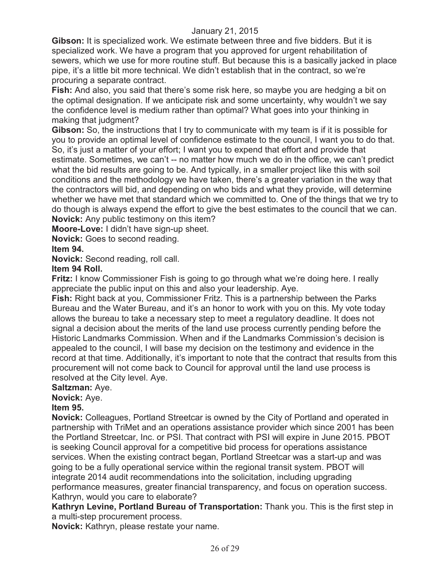**Gibson:** It is specialized work. We estimate between three and five bidders. But it is specialized work. We have a program that you approved for urgent rehabilitation of sewers, which we use for more routine stuff. But because this is a basically jacked in place pipe, it's a little bit more technical. We didn't establish that in the contract, so we're procuring a separate contract.

**Fish:** And also, you said that there's some risk here, so maybe you are hedging a bit on the optimal designation. If we anticipate risk and some uncertainty, why wouldn't we say the confidence level is medium rather than optimal? What goes into your thinking in making that judgment?

**Gibson:** So, the instructions that I try to communicate with my team is if it is possible for you to provide an optimal level of confidence estimate to the council, I want you to do that. So, it's just a matter of your effort; I want you to expend that effort and provide that estimate. Sometimes, we can't -- no matter how much we do in the office, we can't predict what the bid results are going to be. And typically, in a smaller project like this with soil conditions and the methodology we have taken, there's a greater variation in the way that the contractors will bid, and depending on who bids and what they provide, will determine whether we have met that standard which we committed to. One of the things that we try to do though is always expend the effort to give the best estimates to the council that we can. **Novick:** Any public testimony on this item?

**Moore-Love:** I didn't have sign-up sheet.

**Novick:** Goes to second reading.

**Item 94.**

**Novick:** Second reading, roll call.

## **Item 94 Roll.**

**Fritz:** I know Commissioner Fish is going to go through what we're doing here. I really appreciate the public input on this and also your leadership. Aye.

**Fish:** Right back at you, Commissioner Fritz. This is a partnership between the Parks Bureau and the Water Bureau, and it's an honor to work with you on this. My vote today allows the bureau to take a necessary step to meet a regulatory deadline. It does not signal a decision about the merits of the land use process currently pending before the Historic Landmarks Commission. When and if the Landmarks Commission's decision is appealed to the council, I will base my decision on the testimony and evidence in the record at that time. Additionally, it's important to note that the contract that results from this procurement will not come back to Council for approval until the land use process is resolved at the City level. Aye.

**Saltzman:** Aye.

**Novick:** Aye.

#### **Item 95.**

**Novick:** Colleagues, Portland Streetcar is owned by the City of Portland and operated in partnership with TriMet and an operations assistance provider which since 2001 has been the Portland Streetcar, Inc. or PSI. That contract with PSI will expire in June 2015. PBOT is seeking Council approval for a competitive bid process for operations assistance services. When the existing contract began, Portland Streetcar was a start-up and was going to be a fully operational service within the regional transit system. PBOT will integrate 2014 audit recommendations into the solicitation, including upgrading performance measures, greater financial transparency, and focus on operation success. Kathryn, would you care to elaborate?

**Kathryn Levine, Portland Bureau of Transportation:** Thank you. This is the first step in a multi-step procurement process.

**Novick:** Kathryn, please restate your name.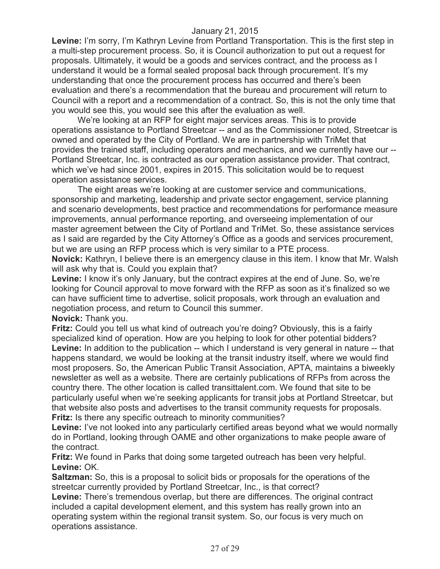**Levine:** I'm sorry, I'm Kathryn Levine from Portland Transportation. This is the first step in a multi-step procurement process. So, it is Council authorization to put out a request for proposals. Ultimately, it would be a goods and services contract, and the process as I understand it would be a formal sealed proposal back through procurement. It's my understanding that once the procurement process has occurred and there's been evaluation and there's a recommendation that the bureau and procurement will return to Council with a report and a recommendation of a contract. So, this is not the only time that you would see this, you would see this after the evaluation as well.

We're looking at an RFP for eight major services areas. This is to provide operations assistance to Portland Streetcar -- and as the Commissioner noted, Streetcar is owned and operated by the City of Portland. We are in partnership with TriMet that provides the trained staff, including operators and mechanics, and we currently have our -- Portland Streetcar, Inc. is contracted as our operation assistance provider. That contract, which we've had since 2001, expires in 2015. This solicitation would be to request operation assistance services.

The eight areas we're looking at are customer service and communications, sponsorship and marketing, leadership and private sector engagement, service planning and scenario developments, best practice and recommendations for performance measure improvements, annual performance reporting, and overseeing implementation of our master agreement between the City of Portland and TriMet. So, these assistance services as I said are regarded by the City Attorney's Office as a goods and services procurement, but we are using an RFP process which is very similar to a PTE process.

**Novick:** Kathryn, I believe there is an emergency clause in this item. I know that Mr. Walsh will ask why that is. Could you explain that?

Levine: I know it's only January, but the contract expires at the end of June. So, we're looking for Council approval to move forward with the RFP as soon as it's finalized so we can have sufficient time to advertise, solicit proposals, work through an evaluation and negotiation process, and return to Council this summer.

**Novick:** Thank you.

**Fritz:** Could you tell us what kind of outreach you're doing? Obviously, this is a fairly specialized kind of operation. How are you helping to look for other potential bidders? Levine: In addition to the publication -- which I understand is very general in nature -- that happens standard, we would be looking at the transit industry itself, where we would find most proposers. So, the American Public Transit Association, APTA, maintains a biweekly newsletter as well as a website. There are certainly publications of RFPs from across the country there. The other location is called transittalent.com. We found that site to be particularly useful when we're seeking applicants for transit jobs at Portland Streetcar, but that website also posts and advertises to the transit community requests for proposals. **Fritz:** Is there any specific outreach to minority communities?

**Levine:** I've not looked into any particularly certified areas beyond what we would normally do in Portland, looking through OAME and other organizations to make people aware of the contract.

**Fritz:** We found in Parks that doing some targeted outreach has been very helpful. **Levine:** OK.

**Saltzman:** So, this is a proposal to solicit bids or proposals for the operations of the streetcar currently provided by Portland Streetcar, Inc., is that correct?

**Levine:** There's tremendous overlap, but there are differences. The original contract included a capital development element, and this system has really grown into an operating system within the regional transit system. So, our focus is very much on operations assistance.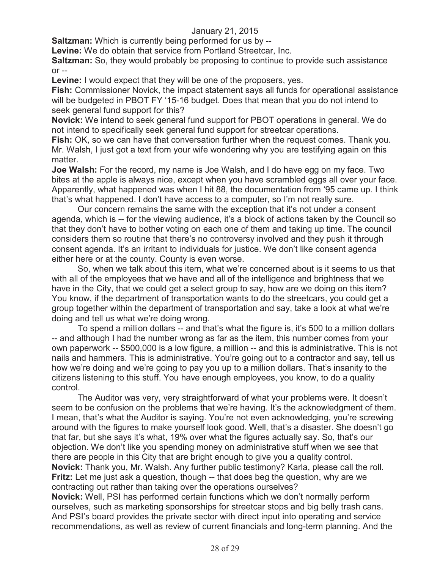**Saltzman:** Which is currently being performed for us by --

**Levine:** We do obtain that service from Portland Streetcar, Inc.

**Saltzman:** So, they would probably be proposing to continue to provide such assistance  $or -1$ 

Levine: I would expect that they will be one of the proposers, yes.

**Fish:** Commissioner Novick, the impact statement says all funds for operational assistance will be budgeted in PBOT FY '15-16 budget. Does that mean that you do not intend to seek general fund support for this?

**Novick:** We intend to seek general fund support for PBOT operations in general. We do not intend to specifically seek general fund support for streetcar operations.

**Fish:** OK, so we can have that conversation further when the request comes. Thank you. Mr. Walsh, I just got a text from your wife wondering why you are testifying again on this matter.

**Joe Walsh:** For the record, my name is Joe Walsh, and I do have egg on my face. Two bites at the apple is always nice, except when you have scrambled eggs all over your face. Apparently, what happened was when I hit 88, the documentation from '95 came up. I think that's what happened. I don't have access to a computer, so I'm not really sure.

Our concern remains the same with the exception that it's not under a consent agenda, which is -- for the viewing audience, it's a block of actions taken by the Council so that they don't have to bother voting on each one of them and taking up time. The council considers them so routine that there's no controversy involved and they push it through consent agenda. It's an irritant to individuals for justice. We don't like consent agenda either here or at the county. County is even worse.

So, when we talk about this item, what we're concerned about is it seems to us that with all of the employees that we have and all of the intelligence and brightness that we have in the City, that we could get a select group to say, how are we doing on this item? You know, if the department of transportation wants to do the streetcars, you could get a group together within the department of transportation and say, take a look at what we're doing and tell us what we're doing wrong.

To spend a million dollars -- and that's what the figure is, it's 500 to a million dollars -- and although I had the number wrong as far as the item, this number comes from your own paperwork -- \$500,000 is a low figure, a million -- and this is administrative. This is not nails and hammers. This is administrative. You're going out to a contractor and say, tell us how we're doing and we're going to pay you up to a million dollars. That's insanity to the citizens listening to this stuff. You have enough employees, you know, to do a quality control.

The Auditor was very, very straightforward of what your problems were. It doesn't seem to be confusion on the problems that we're having. It's the acknowledgment of them. I mean, that's what the Auditor is saying. You're not even acknowledging, you're screwing around with the figures to make yourself look good. Well, that's a disaster. She doesn't go that far, but she says it's what, 19% over what the figures actually say. So, that's our objection. We don't like you spending money on administrative stuff when we see that there are people in this City that are bright enough to give you a quality control. **Novick:** Thank you, Mr. Walsh. Any further public testimony? Karla, please call the roll. **Fritz:** Let me just ask a question, though -- that does beg the question, why are we contracting out rather than taking over the operations ourselves?

**Novick:** Well, PSI has performed certain functions which we don't normally perform ourselves, such as marketing sponsorships for streetcar stops and big belly trash cans. And PSI's board provides the private sector with direct input into operating and service recommendations, as well as review of current financials and long-term planning. And the